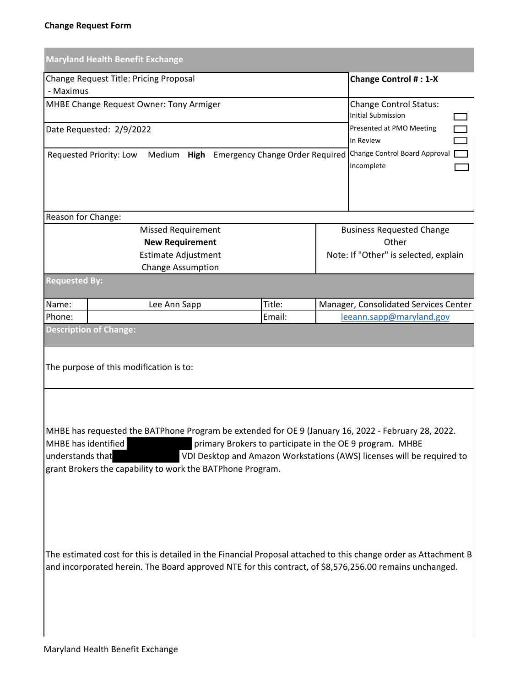|                                                                                                                                                                                                                                                                                                                                                    | <b>Maryland Health Benefit Exchange</b>                                                                                                                                                                                    |                                                            |       |                                                                                  |  |  |  |  |
|----------------------------------------------------------------------------------------------------------------------------------------------------------------------------------------------------------------------------------------------------------------------------------------------------------------------------------------------------|----------------------------------------------------------------------------------------------------------------------------------------------------------------------------------------------------------------------------|------------------------------------------------------------|-------|----------------------------------------------------------------------------------|--|--|--|--|
| - Maximus                                                                                                                                                                                                                                                                                                                                          | Change Request Title: Pricing Proposal                                                                                                                                                                                     |                                                            |       | <b>Change Control #: 1-X</b>                                                     |  |  |  |  |
|                                                                                                                                                                                                                                                                                                                                                    | MHBE Change Request Owner: Tony Armiger                                                                                                                                                                                    | <b>Change Control Status:</b><br><b>Initial Submission</b> |       |                                                                                  |  |  |  |  |
|                                                                                                                                                                                                                                                                                                                                                    | Date Requested: 2/9/2022                                                                                                                                                                                                   | Presented at PMO Meeting<br>In Review                      |       |                                                                                  |  |  |  |  |
|                                                                                                                                                                                                                                                                                                                                                    | Requested Priority: Low<br>Medium                                                                                                                                                                                          |                                                            |       | High Emergency Change Order Required Change Control Board Approval<br>Incomplete |  |  |  |  |
| Reason for Change:                                                                                                                                                                                                                                                                                                                                 |                                                                                                                                                                                                                            |                                                            |       |                                                                                  |  |  |  |  |
|                                                                                                                                                                                                                                                                                                                                                    | <b>Missed Requirement</b>                                                                                                                                                                                                  |                                                            |       | <b>Business Requested Change</b>                                                 |  |  |  |  |
|                                                                                                                                                                                                                                                                                                                                                    | <b>New Requirement</b>                                                                                                                                                                                                     |                                                            | Other |                                                                                  |  |  |  |  |
|                                                                                                                                                                                                                                                                                                                                                    | <b>Estimate Adjustment</b>                                                                                                                                                                                                 |                                                            |       | Note: If "Other" is selected, explain                                            |  |  |  |  |
|                                                                                                                                                                                                                                                                                                                                                    | <b>Change Assumption</b>                                                                                                                                                                                                   |                                                            |       |                                                                                  |  |  |  |  |
| <b>Requested By:</b>                                                                                                                                                                                                                                                                                                                               |                                                                                                                                                                                                                            |                                                            |       |                                                                                  |  |  |  |  |
| Name:                                                                                                                                                                                                                                                                                                                                              | Lee Ann Sapp                                                                                                                                                                                                               | Title:                                                     |       | Manager, Consolidated Services Center                                            |  |  |  |  |
| Phone:                                                                                                                                                                                                                                                                                                                                             |                                                                                                                                                                                                                            | Email:                                                     |       | leeann.sapp@maryland.gov                                                         |  |  |  |  |
|                                                                                                                                                                                                                                                                                                                                                    | <b>Description of Change:</b>                                                                                                                                                                                              |                                                            |       |                                                                                  |  |  |  |  |
|                                                                                                                                                                                                                                                                                                                                                    | The purpose of this modification is to:                                                                                                                                                                                    |                                                            |       |                                                                                  |  |  |  |  |
| MHBE has requested the BATPhone Program be extended for OE 9 (January 16, 2022 - February 28, 2022.<br>MHBE has identified<br>primary Brokers to participate in the OE 9 program. MHBE<br>understands that<br>VDI Desktop and Amazon Workstations (AWS) licenses will be required to<br>grant Brokers the capability to work the BATPhone Program. |                                                                                                                                                                                                                            |                                                            |       |                                                                                  |  |  |  |  |
|                                                                                                                                                                                                                                                                                                                                                    | The estimated cost for this is detailed in the Financial Proposal attached to this change order as Attachment B<br>and incorporated herein. The Board approved NTE for this contract, of \$8,576,256.00 remains unchanged. |                                                            |       |                                                                                  |  |  |  |  |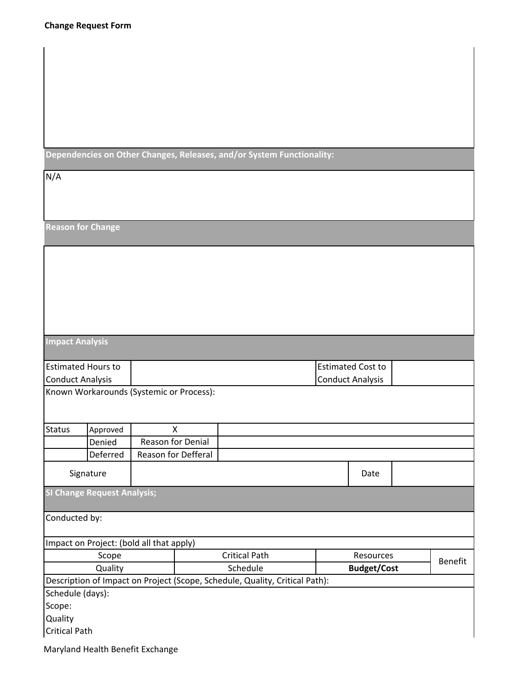**Dependencies on Other Changes, Releases, and/or System Functionality:**

| N/A                       |                                          |                     |                                                                             |                    |                          |         |  |
|---------------------------|------------------------------------------|---------------------|-----------------------------------------------------------------------------|--------------------|--------------------------|---------|--|
|                           |                                          |                     |                                                                             |                    |                          |         |  |
| <b>Reason for Change</b>  |                                          |                     |                                                                             |                    |                          |         |  |
|                           |                                          |                     |                                                                             |                    |                          |         |  |
|                           |                                          |                     |                                                                             |                    |                          |         |  |
|                           |                                          |                     |                                                                             |                    |                          |         |  |
|                           |                                          |                     |                                                                             |                    |                          |         |  |
|                           |                                          |                     |                                                                             |                    |                          |         |  |
|                           |                                          |                     |                                                                             |                    |                          |         |  |
|                           |                                          |                     |                                                                             |                    |                          |         |  |
| <b>Impact Analysis</b>    |                                          |                     |                                                                             |                    |                          |         |  |
| <b>Estimated Hours to</b> |                                          |                     |                                                                             |                    | <b>Estimated Cost to</b> |         |  |
| <b>Conduct Analysis</b>   |                                          |                     |                                                                             |                    | <b>Conduct Analysis</b>  |         |  |
|                           | Known Workarounds (Systemic or Process): |                     |                                                                             |                    |                          |         |  |
|                           |                                          |                     |                                                                             |                    |                          |         |  |
| <b>Status</b>             | Approved                                 | X                   |                                                                             |                    |                          |         |  |
|                           | Denied                                   | Reason for Denial   |                                                                             |                    |                          |         |  |
|                           | Deferred                                 | Reason for Defferal |                                                                             |                    |                          |         |  |
|                           | Signature                                |                     |                                                                             |                    | Date                     |         |  |
|                           | <b>SI Change Request Analysis;</b>       |                     |                                                                             |                    |                          |         |  |
| Conducted by:             |                                          |                     |                                                                             |                    |                          |         |  |
|                           | Impact on Project: (bold all that apply) |                     |                                                                             |                    |                          |         |  |
| Scope                     |                                          |                     | <b>Critical Path</b><br><b>Resources</b>                                    |                    |                          | Benefit |  |
| Quality                   |                                          | Schedule            |                                                                             | <b>Budget/Cost</b> |                          |         |  |
|                           |                                          |                     | Description of Impact on Project (Scope, Schedule, Quality, Critical Path): |                    |                          |         |  |
| Schedule (days):          |                                          |                     |                                                                             |                    |                          |         |  |
| Scope:<br>Quality         |                                          |                     |                                                                             |                    |                          |         |  |
| <b>Critical Path</b>      |                                          |                     |                                                                             |                    |                          |         |  |
|                           |                                          |                     |                                                                             |                    |                          |         |  |

Maryland Health Benefit Exchange